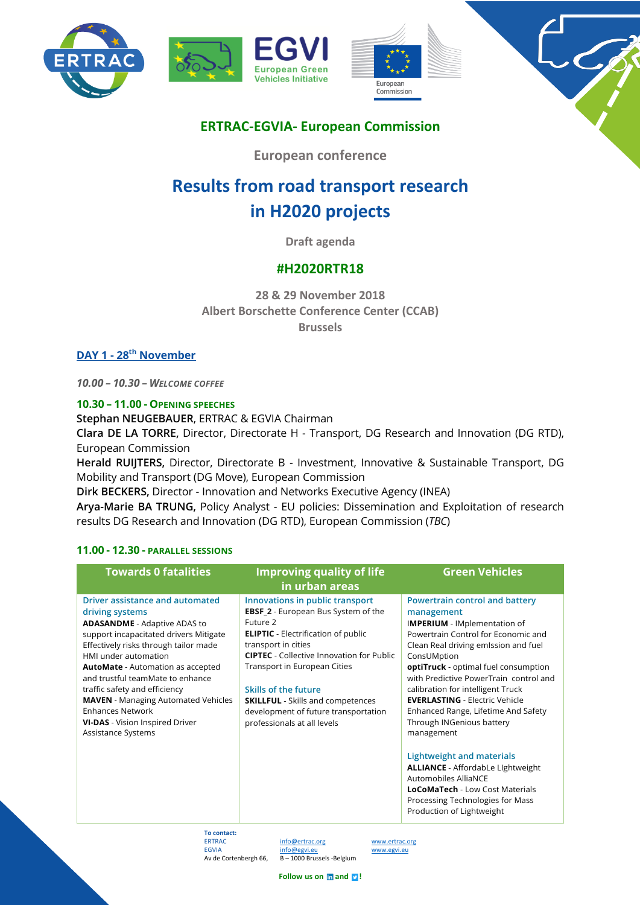





# **ERTRAC-EGVIA- European Commission**

**European conference**

# **Results from road transport research in H2020 projects**

**Draft agenda**

## **#H2020RTR18**

**28 & 29 November 2018 Albert Borschette Conference Center (CCAB) Brussels**

**DAY 1 - 28th November** 

*10.00 – 10.30 – WELCOME COFFEE* 

## **10.30 – 11.00 - OPENING SPEECHES**

**Stephan NEUGEBAUER**, ERTRAC & EGVIA Chairman

**Clara DE LA TORRE,** Director, Directorate H - Transport, DG Research and Innovation (DG RTD), European Commission

**Herald RUIJTERS,** Director, Directorate B - Investment, Innovative & Sustainable Transport, DG Mobility and Transport (DG Move), European Commission

**Dirk BECKERS,** Director - Innovation and Networks Executive Agency (INEA)

**Arya-Marie BA TRUNG,** Policy Analyst - EU policies: Dissemination and Exploitation of research results DG Research and Innovation (DG RTD), European Commission (*TBC*)

## **11.00 - 12.30 - PARALLEL SESSIONS**

| <b>Towards 0 fatalities</b>                                                                                                                                                                                                                                                                                                                                                                                                                                    | <b>Improving quality of life</b><br>in urban areas                                                                                                                                                                                                                                                                                                                                                   | <b>Green Vehicles</b>                                                                                                                                                                                                                                                                                                                                                                                                                                                                                                                                                                                                                           |
|----------------------------------------------------------------------------------------------------------------------------------------------------------------------------------------------------------------------------------------------------------------------------------------------------------------------------------------------------------------------------------------------------------------------------------------------------------------|------------------------------------------------------------------------------------------------------------------------------------------------------------------------------------------------------------------------------------------------------------------------------------------------------------------------------------------------------------------------------------------------------|-------------------------------------------------------------------------------------------------------------------------------------------------------------------------------------------------------------------------------------------------------------------------------------------------------------------------------------------------------------------------------------------------------------------------------------------------------------------------------------------------------------------------------------------------------------------------------------------------------------------------------------------------|
| Driver assistance and automated<br>driving systems<br><b>ADASANDME</b> - Adaptive ADAS to<br>support incapacitated drivers Mitigate<br>Effectively risks through tailor made<br>HMI under automation<br><b>AutoMate</b> - Automation as accepted<br>and trustful teamMate to enhance<br>traffic safety and efficiency<br><b>MAVEN</b> - Managing Automated Vehicles<br><b>Enhances Network</b><br><b>VI-DAS</b> - Vision Inspired Driver<br>Assistance Systems | Innovations in public transport<br><b>EBSF_2</b> - European Bus System of the<br>Future 2<br><b>ELIPTIC</b> - Electrification of public<br>transport in cities<br><b>CIPTEC</b> - Collective Innovation for Public<br>Transport in European Cities<br><b>Skills of the future</b><br><b>SKILLFUL</b> - Skills and competences<br>development of future transportation<br>professionals at all levels | Powertrain control and battery<br>management<br><b>IMPERIUM</b> - IMplementation of<br>Powertrain Control for Economic and<br>Clean Real driving emission and fuel<br>ConsUMption<br>optiTruck - optimal fuel consumption<br>with Predictive PowerTrain control and<br>calibration for intelligent Truck<br><b>EVERLASTING - Electric Vehicle</b><br>Enhanced Range, Lifetime And Safety<br>Through INGenious battery<br>management<br>Lightweight and materials<br><b>ALLIANCE</b> - AffordabLe Lightweight<br>Automobiles AlliaNCE<br><b>LoCoMaTech - Low Cost Materials</b><br>Processing Technologies for Mass<br>Production of Lightweight |

**To contact:** Av de Cortenbergh 66, B – 1000 Brussels -Belgium

info@ertrac.org www.ertrac.org EGVIA info@egvi.eu www.egvi.eu

**Follow us on**  $\ln$  **and P**!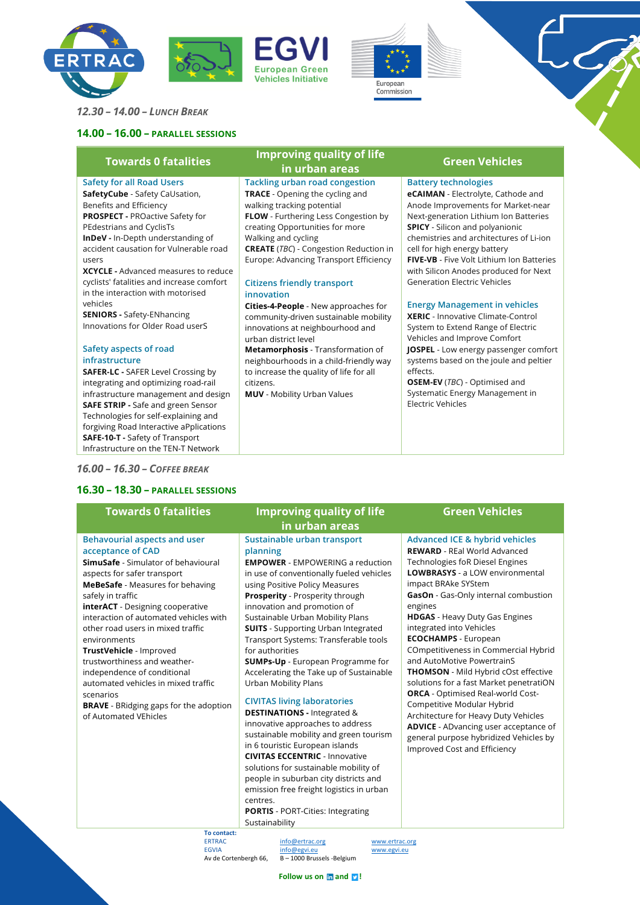







*12.30 – 14.00 – LUNCH BREAK* 

## **14.00 – 16.00 – PARALLEL SESSIONS**

## **Safety for all Road Users**

**SafetyCube** - Safety CaUsation, Benefits and Efficiency **PROSPECT -** PROactive Safety for PEdestrians and CyclisTs **InDeV -** In-Depth understanding of

accident causation for Vulnerable road users

**XCYCLE -** Advanced measures to reduce cyclists' fatalities and increase comfort in the interaction with motorised vehicles

**SENIORS -** Safety-ENhancing Innovations for Older Road userS

### **Safety aspects of road infrastructure**

**SAFER-LC -** SAFER Level Crossing by integrating and optimizing road-rail infrastructure management and design **SAFE STRIP -** Safe and green Sensor Technologies for self-explaining and forgiving Road Interactive aPplications **SAFE-10-T -** Safety of Transport Infrastructure on the TEN-T Network

## *16.00 – 16.30 – COFFEE BREAK*

**Behavourial aspects and user** 

**interACT** - Designing cooperative interaction of automated vehicles with other road users in mixed traffic

**BRAVE** - BRidging gaps for the adoption

**SimuSafe** - Simulator of behavioural

**acceptance of CAD**

safely in traffic

environments

scenarios

aspects for safer transport **MeBeSafe** - Measures for behaving

**TrustVehicle** - Improved trustworthiness and weatherindependence of conditional automated vehicles in mixed traffic

of Automated VEhicles

## **16.30 – 18.30 – PARALLEL SESSIONS**

## **Towards 0 fatalities Improving quality of life in urban areas Green Vehicles**

**Tackling urban road congestion TRACE** - Opening the cycling and walking tracking potential

**FLOW** - Furthering Less Congestion by creating Opportunities for more Walking and cycling

**CREATE** (*TBC*) - Congestion Reduction in Europe: Advancing Transport Efficiency

### **Citizens friendly transport innovation**

**Cities-4-People** - New approaches for community-driven sustainable mobility innovations at neighbourhood and urban district level

**Metamorphosis** - Transformation of neighbourhoods in a child-friendly way to increase the quality of life for all citizens.

**MUV** - Mobility Urban Values

## **Battery technologies**

**eCAIMAN** - Electrolyte, Cathode and Anode Improvements for Market-near Next-generation Lithium Ion Batteries **SPICY** - Silicon and polyanionic chemistries and architectures of Li-ion cell for high energy battery **FIVE-VB** - Five Volt Lithium Ion Batteries with Silicon Anodes produced for Next Generation Electric Vehicles

## **Energy Management in vehicles**

**XERIC** - Innovative Climate-Control System to Extend Range of Electric Vehicles and Improve Comfort **JOSPEL** - Low energy passenger comfort systems based on the joule and peltier effects.

**OSEM-EV** (*TBC*) - Optimised and Systematic Energy Management in Electric Vehicles

# **Towards 0 fatalities Improving quality of life**

# **in urban areas**

**Sustainable urban transport planning**

**EMPOWER** - EMPOWERING a reduction in use of conventionally fueled vehicles using Positive Policy Measures **Prosperity** - Prosperity through innovation and promotion of Sustainable Urban Mobility Plans **SUITS** - Supporting Urban Integrated Transport Systems: Transferable tools for authorities **SUMPs-Up** - European Programme for Accelerating the Take up of Sustainable Urban Mobility Plans **CIVITAS living laboratories DESTINATIONS -** Integrated &

innovative approaches to address sustainable mobility and green tourism in 6 touristic European islands **CIVITAS ECCENTRIC** - Innovative solutions for sustainable mobility of people in suburban city districts and emission free freight logistics in urban centres. **PORTIS** - PORT-Cities: Integrating Sustainability

## **Green Vehicles**

### **Advanced ICE & hybrid vehicles**

**REWARD** - REal World Advanced Technologies foR Diesel Engines **LOWBRASYS** - a LOW environmental impact BRAke SYStem **GasOn** - Gas-Only internal combustion engines

**HDGAS** - Heavy Duty Gas Engines integrated into Vehicles **ECOCHAMPS** - European COmpetitiveness in Commercial Hybrid and AutoMotive PowertrainS **THOMSON** - Mild Hybrid cOst effective solutions for a fast Market penetratiON **ORCA** - Optimised Real-world Cost-Competitive Modular Hybrid Architecture for Heavy Duty Vehicles **ADVICE** - ADvancing user acceptance of general purpose hybridized Vehicles by Improved Cost and Efficiency

**To contact:** Av de Cortenbergh 66.

info@ertrac.org www.ertrac.org EGVIA  $\frac{info@egvieu}{R-1000~Brucels~Belrium}$  www.egvi.eu